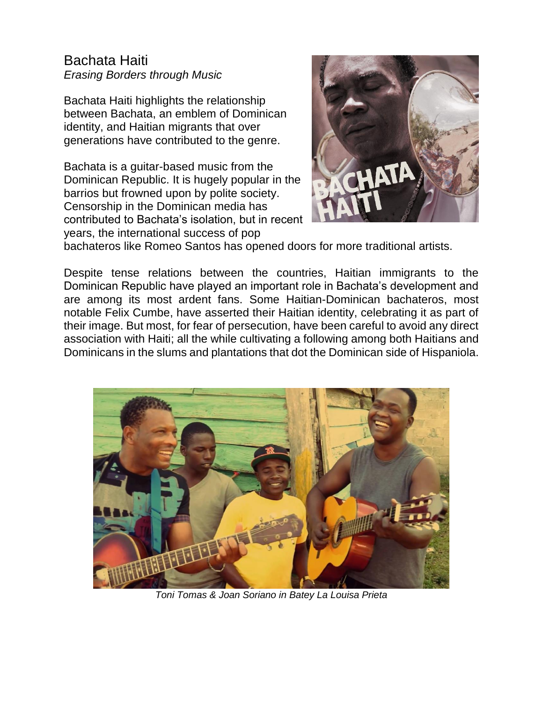# Bachata Haiti *Erasing Borders through Music*

Bachata Haiti highlights the relationship between Bachata, an emblem of Dominican identity, and Haitian migrants that over generations have contributed to the genre.

Bachata is a guitar-based music from the Dominican Republic. It is hugely popular in the barrios but frowned upon by polite society. Censorship in the Dominican media has contributed to Bachata's isolation, but in recent years, the international success of pop



bachateros like Romeo Santos has opened doors for more traditional artists.

Despite tense relations between the countries, Haitian immigrants to the Dominican Republic have played an important role in Bachata's development and are among its most ardent fans. Some Haitian-Dominican bachateros, most notable Felix Cumbe, have asserted their Haitian identity, celebrating it as part of their image. But most, for fear of persecution, have been careful to avoid any direct association with Haiti; all the while cultivating a following among both Haitians and Dominicans in the slums and plantations that dot the Dominican side of Hispaniola.



*Toni Tomas & Joan Soriano in Batey La Louisa Prieta*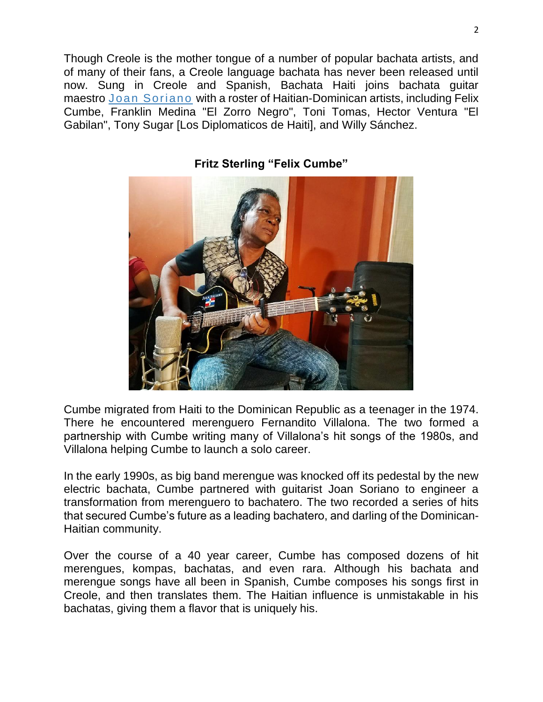Though Creole is the mother tongue of a number of popular bachata artists, and of many of their fans, a Creole language bachata has never been released until now. Sung in Creole and Spanish, Bachata Haiti joins bachata guitar maestro [Joan Soriano](http://www.iasorecords.com/artists/joan-soriano) with a roster of Haitian-Dominican artists, including Felix Cumbe, Franklin Medina "El Zorro Negro", Toni Tomas, Hector Ventura "El Gabilan", Tony Sugar [Los Diplomaticos de Haiti], and Willy Sánchez.



**Fritz Sterling "Felix Cumbe"**

Cumbe migrated from Haiti to the Dominican Republic as a teenager in the 1974. There he encountered merenguero Fernandito Villalona. The two formed a partnership with Cumbe writing many of Villalona's hit songs of the 1980s, and Villalona helping Cumbe to launch a solo career.

In the early 1990s, as big band merengue was knocked off its pedestal by the new electric bachata, Cumbe partnered with guitarist Joan Soriano to engineer a transformation from merenguero to bachatero. The two recorded a series of hits that secured Cumbe's future as a leading bachatero, and darling of the Dominican-Haitian community.

Over the course of a 40 year career, Cumbe has composed dozens of hit merengues, kompas, bachatas, and even rara. Although his bachata and merengue songs have all been in Spanish, Cumbe composes his songs first in Creole, and then translates them. The Haitian influence is unmistakable in his bachatas, giving them a flavor that is uniquely his.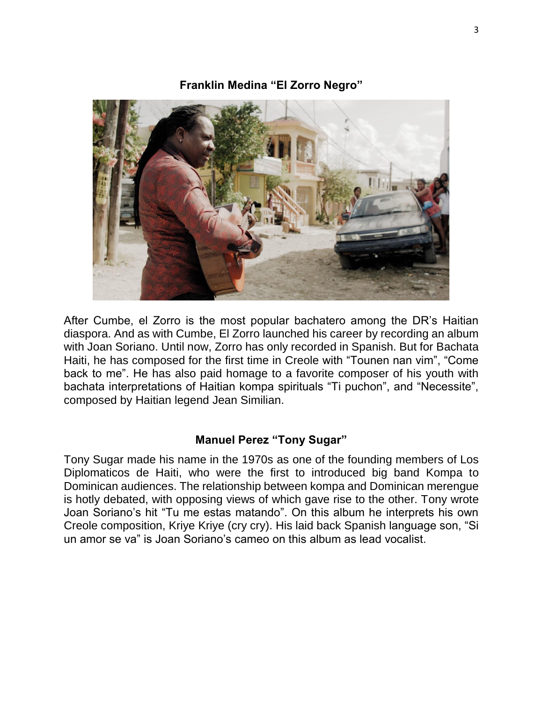#### **Franklin Medina "El Zorro Negro"**



After Cumbe, el Zorro is the most popular bachatero among the DR's Haitian diaspora. And as with Cumbe, El Zorro launched his career by recording an album with Joan Soriano. Until now, Zorro has only recorded in Spanish. But for Bachata Haiti, he has composed for the first time in Creole with "Tounen nan vim", "Come back to me". He has also paid homage to a favorite composer of his youth with bachata interpretations of Haitian kompa spirituals "Ti puchon", and "Necessite", composed by Haitian legend Jean Similian.

## **Manuel Perez "Tony Sugar"**

Tony Sugar made his name in the 1970s as one of the founding members of Los Diplomaticos de Haiti, who were the first to introduced big band Kompa to Dominican audiences. The relationship between kompa and Dominican merengue is hotly debated, with opposing views of which gave rise to the other. Tony wrote Joan Soriano's hit "Tu me estas matando". On this album he interprets his own Creole composition, Kriye Kriye (cry cry). His laid back Spanish language son, "Si un amor se va" is Joan Soriano's cameo on this album as lead vocalist.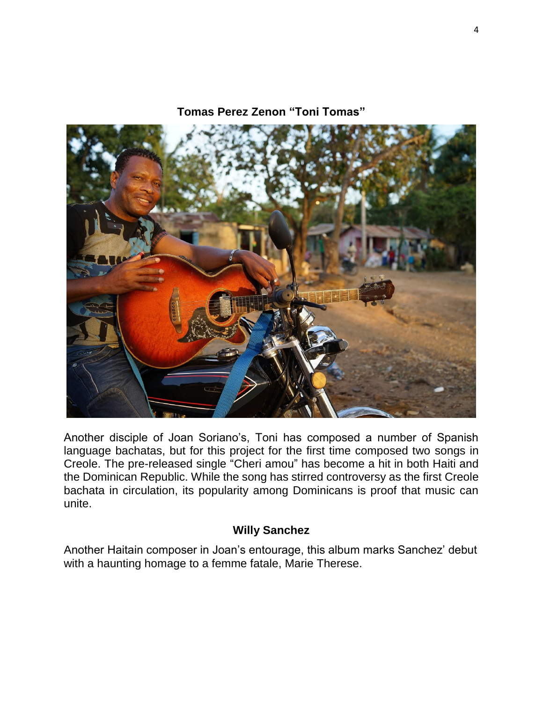**Tomas Perez Zenon "Toni Tomas"**

Another disciple of Joan Soriano's, Toni has composed a number of Spanish language bachatas, but for this project for the first time composed two songs in Creole. The pre-released single "Cheri amou" has become a hit in both Haiti and the Dominican Republic. While the song has stirred controversy as the first Creole bachata in circulation, its popularity among Dominicans is proof that music can unite.

## **Willy Sanchez**

Another Haitain composer in Joan's entourage, this album marks Sanchez' debut with a haunting homage to a femme fatale, Marie Therese.